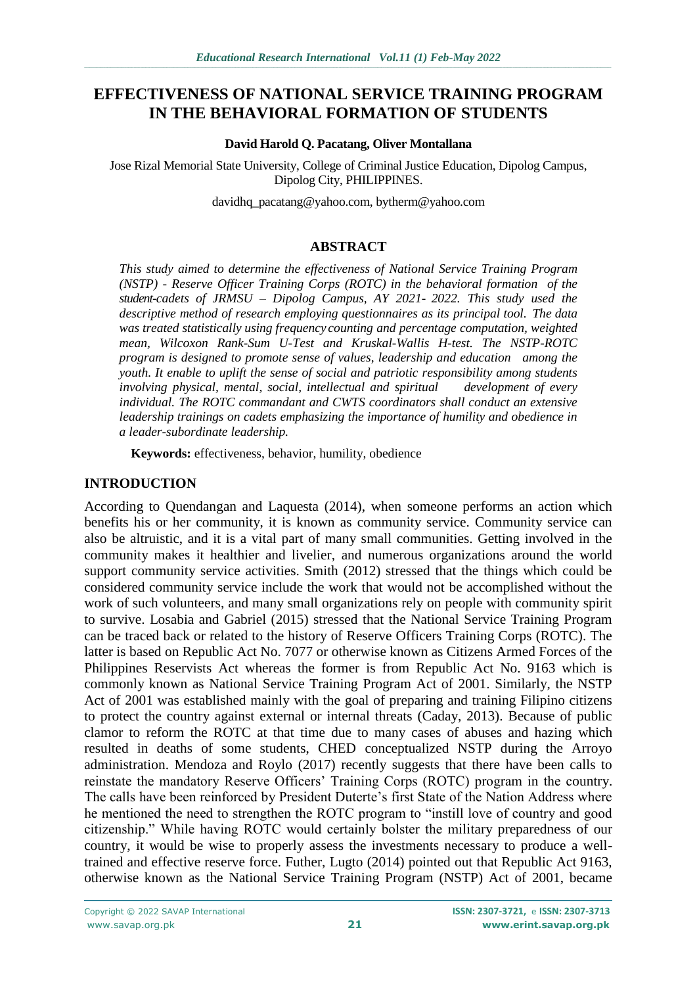# **EFFECTIVENESS OF NATIONAL SERVICE TRAINING PROGRAM IN THE BEHAVIORAL FORMATION OF STUDENTS**

#### **David Harold Q. Pacatang, Oliver Montallana**

Jose Rizal Memorial State University, College of Criminal Justice Education, Dipolog Campus, Dipolog City, PHILIPPINES.

[davidhq\\_pacatang@yahoo.com,](mailto:davidhq_pacatang@yahoo.com) bytherm@yahoo.com

## **ABSTRACT**

*This study aimed to determine the effectiveness of National Service Training Program (NSTP) - Reserve Officer Training Corps (ROTC) in the behavioral formation of the student-cadets of JRMSU – Dipolog Campus, AY 2021- 2022. This study used the descriptive method of research employing questionnaires as its principal tool. The data was treated statistically using frequency counting and percentage computation, weighted mean, Wilcoxon Rank-Sum U-Test and Kruskal-Wallis H-test. The NSTP-ROTC program is designed to promote sense of values, leadership and education among the youth. It enable to uplift the sense of social and patriotic responsibility among students involving physical, mental, social, intellectual and spiritual development of every individual. The ROTC commandant and CWTS coordinators shall conduct an extensive leadership trainings on cadets emphasizing the importance of humility and obedience in a leader-subordinate leadership.*

**Keywords:** effectiveness, behavior, humility, obedience

#### **INTRODUCTION**

According to Quendangan and Laquesta (2014), when someone performs an action which benefits his or her community, it is known as community service. Community service can also be altruistic, and it is a vital part of many small communities. Getting involved in the community makes it healthier and livelier, and numerous organizations around the world support community service activities. Smith (2012) stressed that the things which could be considered community service include the work that would not be accomplished without the work of such volunteers, and many small organizations rely on people with community spirit to survive. Losabia and Gabriel (2015) stressed that the National Service Training Program can be traced back or related to the history of Reserve Officers Training Corps (ROTC). The latter is based on Republic Act No. 7077 or otherwise known as Citizens Armed Forces of the Philippines Reservists Act whereas the former is from Republic Act No. 9163 which is commonly known as National Service Training Program Act of 2001. Similarly, the NSTP Act of 2001 was established mainly with the goal of preparing and training Filipino citizens to protect the country against external or internal threats (Caday, 2013). Because of public clamor to reform the ROTC at that time due to many cases of abuses and hazing which resulted in deaths of some students, CHED conceptualized NSTP during the Arroyo administration. Mendoza and Roylo (2017) recently suggests that there have been calls to reinstate the mandatory Reserve Officers' Training Corps (ROTC) program in the country. The calls have been reinforced by President Duterte's first State of the Nation Address where he mentioned the need to strengthen the ROTC program to "instill love of country and good citizenship." While having ROTC would certainly bolster the military preparedness of our country, it would be wise to properly assess the investments necessary to produce a welltrained and effective reserve force. Futher, Lugto (2014) pointed out that Republic Act 9163, otherwise known as the National Service Training Program (NSTP) Act of 2001, became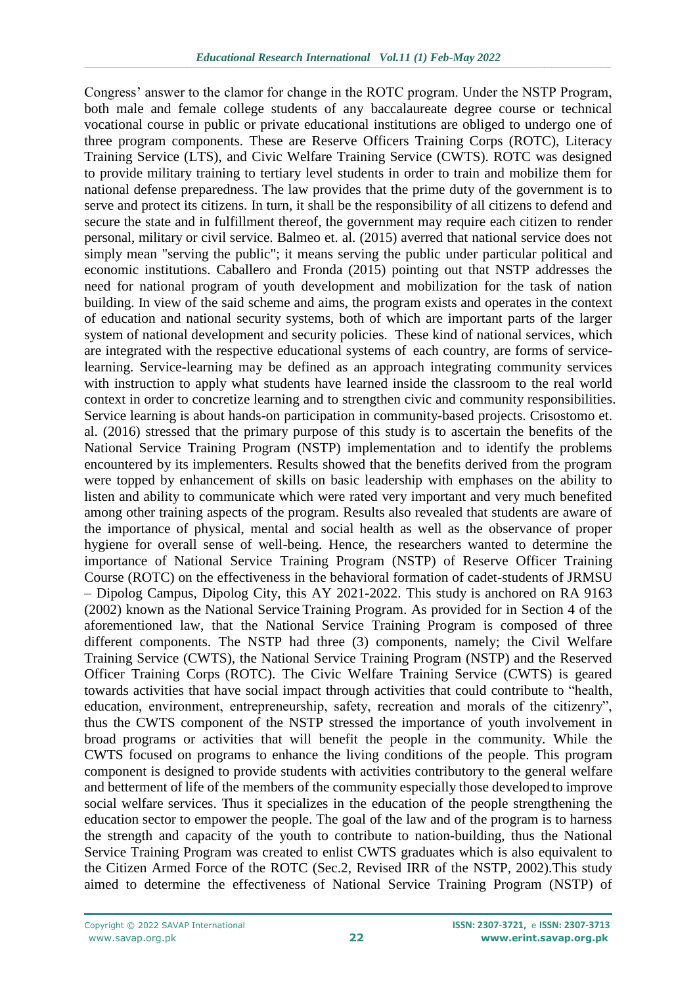Congress' answer to the clamor for change in the ROTC program. Under the NSTP Program, both male and female college students of any baccalaureate degree course or technical vocational course in public or private educational institutions are obliged to undergo one of three program components. These are Reserve Officers Training Corps (ROTC), Literacy Training Service (LTS), and Civic Welfare Training Service (CWTS). ROTC was designed to provide military training to tertiary level students in order to train and mobilize them for national defense preparedness. The law provides that the prime duty of the government is to serve and protect its citizens. In turn, it shall be the responsibility of all citizens to defend and secure the state and in fulfillment thereof, the government may require each citizen to render personal, military or civil service. Balmeo et. al. (2015) averred that national service does not simply mean "serving the public"; it means serving the public under particular political and economic institutions. Caballero and Fronda (2015) pointing out that NSTP addresses the need for national program of youth development and mobilization for the task of nation building. In view of the said scheme and aims, the program exists and operates in the context of education and national security systems, both of which are important parts of the larger system of national development and security policies. These kind of national services, which are integrated with the respective educational systems of each country, are forms of servicelearning. Service-learning may be defined as an approach integrating community services with instruction to apply what students have learned inside the classroom to the real world context in order to concretize learning and to strengthen civic and community responsibilities. Service learning is about hands-on participation in community-based projects. Crisostomo et. al. (2016) stressed that the primary purpose of this study is to ascertain the benefits of the National Service Training Program (NSTP) implementation and to identify the problems encountered by its implementers. Results showed that the benefits derived from the program were topped by enhancement of skills on basic leadership with emphases on the ability to listen and ability to communicate which were rated very important and very much benefited among other training aspects of the program. Results also revealed that students are aware of the importance of physical, mental and social health as well as the observance of proper hygiene for overall sense of well-being. Hence, the researchers wanted to determine the importance of National Service Training Program (NSTP) of Reserve Officer Training Course (ROTC) on the effectiveness in the behavioral formation of cadet-students of JRMSU – Dipolog Campus, Dipolog City, this AY 2021-2022. This study is anchored on RA 9163 (2002) known as the National Service Training Program. As provided for in Section 4 of the aforementioned law, that the National Service Training Program is composed of three different components. The NSTP had three (3) components, namely; the Civil Welfare Training Service (CWTS), the National Service Training Program (NSTP) and the Reserved Officer Training Corps (ROTC). The Civic Welfare Training Service (CWTS) is geared towards activities that have social impact through activities that could contribute to "health, education, environment, entrepreneurship, safety, recreation and morals of the citizenry", thus the CWTS component of the NSTP stressed the importance of youth involvement in broad programs or activities that will benefit the people in the community. While the CWTS focused on programs to enhance the living conditions of the people. This program component is designed to provide students with activities contributory to the general welfare and betterment of life of the members of the community especially those developed to improve social welfare services. Thus it specializes in the education of the people strengthening the education sector to empower the people. The goal of the law and of the program is to harness the strength and capacity of the youth to contribute to nation-building, thus the National Service Training Program was created to enlist CWTS graduates which is also equivalent to the Citizen Armed Force of the ROTC (Sec.2, Revised IRR of the NSTP, 2002).This study aimed to determine the effectiveness of National Service Training Program (NSTP) of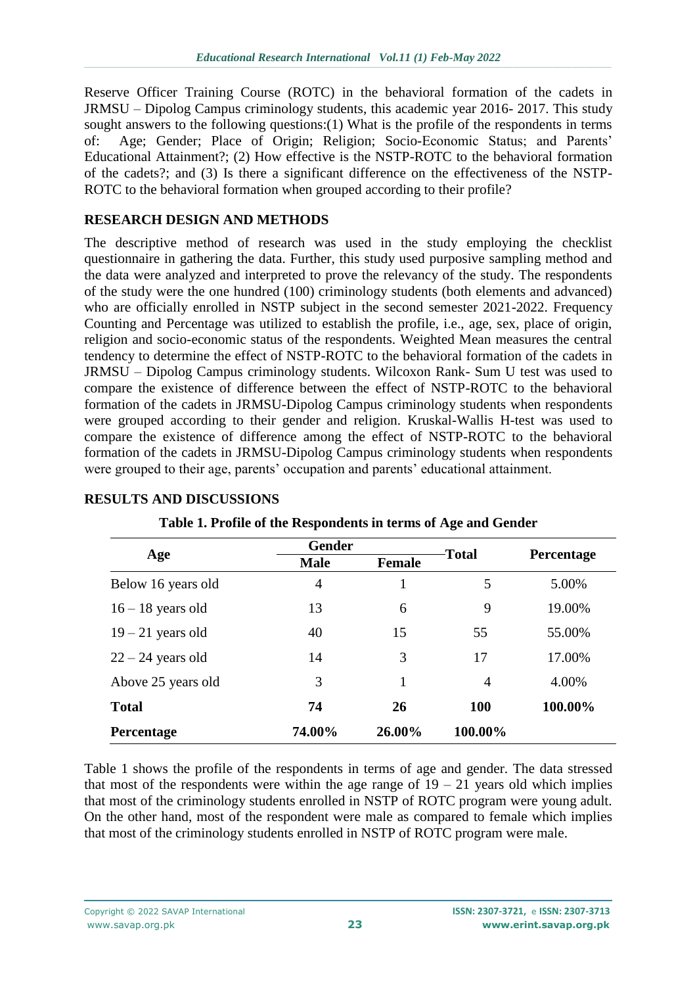Reserve Officer Training Course (ROTC) in the behavioral formation of the cadets in JRMSU – Dipolog Campus criminology students, this academic year 2016- 2017. This study sought answers to the following questions:(1) What is the profile of the respondents in terms of: Age; Gender; Place of Origin; Religion; Socio-Economic Status; and Parents' Educational Attainment?; (2) How effective is the NSTP-ROTC to the behavioral formation of the cadets?; and (3) Is there a significant difference on the effectiveness of the NSTP-ROTC to the behavioral formation when grouped according to their profile?

### **RESEARCH DESIGN AND METHODS**

The descriptive method of research was used in the study employing the checklist questionnaire in gathering the data. Further, this study used purposive sampling method and the data were analyzed and interpreted to prove the relevancy of the study. The respondents of the study were the one hundred (100) criminology students (both elements and advanced) who are officially enrolled in NSTP subject in the second semester 2021-2022. Frequency Counting and Percentage was utilized to establish the profile, i.e., age, sex, place of origin, religion and socio-economic status of the respondents. Weighted Mean measures the central tendency to determine the effect of NSTP-ROTC to the behavioral formation of the cadets in JRMSU – Dipolog Campus criminology students. Wilcoxon Rank- Sum U test was used to compare the existence of difference between the effect of NSTP-ROTC to the behavioral formation of the cadets in JRMSU-Dipolog Campus criminology students when respondents were grouped according to their gender and religion. Kruskal-Wallis H-test was used to compare the existence of difference among the effect of NSTP-ROTC to the behavioral formation of the cadets in JRMSU-Dipolog Campus criminology students when respondents were grouped to their age, parents' occupation and parents' educational attainment.

|                     | <b>Gender</b> |               |                |            |  |
|---------------------|---------------|---------------|----------------|------------|--|
| Age                 | <b>Male</b>   | <b>Female</b> | <b>Total</b>   | Percentage |  |
| Below 16 years old  | 4             | 1             | 5              | 5.00%      |  |
| $16 - 18$ years old | 13            | 6             | 9              | 19.00%     |  |
| $19 - 21$ years old | 40            | 15            | 55             | 55.00%     |  |
| $22 - 24$ years old | 14            | 3             | 17             | 17.00%     |  |
| Above 25 years old  | 3             | 1             | $\overline{4}$ | 4.00%      |  |
| <b>Total</b>        | 74            | 26            | <b>100</b>     | 100.00%    |  |
| Percentage          | 74.00%        | 26.00%        | 100.00%        |            |  |

#### **RESULTS AND DISCUSSIONS**

**Table 1. Profile of the Respondents in terms of Age and Gender**

Table 1 shows the profile of the respondents in terms of age and gender. The data stressed that most of the respondents were within the age range of  $19 - 21$  years old which implies that most of the criminology students enrolled in NSTP of ROTC program were young adult. On the other hand, most of the respondent were male as compared to female which implies that most of the criminology students enrolled in NSTP of ROTC program were male.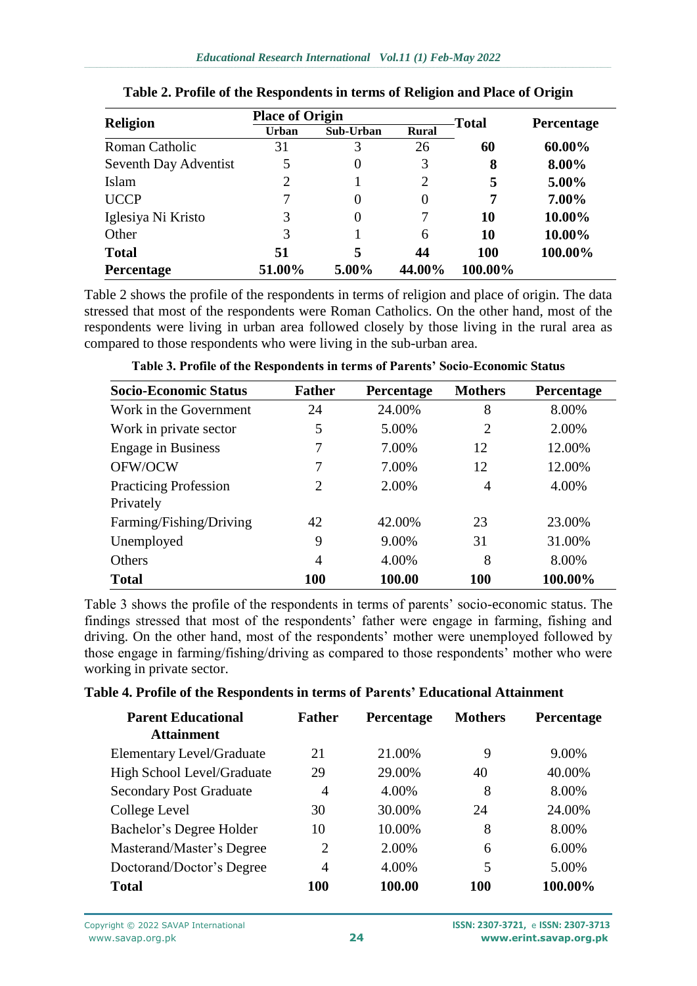| <b>Religion</b>       | <b>Place of Origin</b> |           |              | <b>Total</b> | <b>Percentage</b> |
|-----------------------|------------------------|-----------|--------------|--------------|-------------------|
|                       | <b>Urban</b>           | Sub-Urban | <b>Rural</b> |              |                   |
| Roman Catholic        | 31                     | 3         | 26           | 60           | 60.00%            |
| Seventh Day Adventist |                        | 0         | 3            | 8            | 8.00%             |
| Islam                 | 2                      |           | 2            | 5            | $5.00\%$          |
| <b>UCCP</b>           | 7                      | 0         | $\Omega$     | 7            | 7.00%             |
| Iglesiya Ni Kristo    | 3                      | 0         |              | 10           | 10.00%            |
| Other                 | 3                      |           | 6            | 10           | 10.00%            |
| <b>Total</b>          | 51                     | 5         | 44           | <b>100</b>   | 100.00%           |
| <b>Percentage</b>     | 51.00%                 | 5.00%     | 44.00%       | 100.00%      |                   |

### **Table 2. Profile of the Respondents in terms of Religion and Place of Origin**

Table 2 shows the profile of the respondents in terms of religion and place of origin. The data stressed that most of the respondents were Roman Catholics. On the other hand, most of the respondents were living in urban area followed closely by those living in the rural area as compared to those respondents who were living in the sub-urban area.

| <b>Socio-Economic Status</b> | <b>Father</b>  | <b>Percentage</b> | <b>Mothers</b> | Percentage |
|------------------------------|----------------|-------------------|----------------|------------|
| Work in the Government       | 24             | 24.00%            | 8              | 8.00%      |
| Work in private sector       | 5              | 5.00%             | $\overline{2}$ | 2.00%      |
| <b>Engage in Business</b>    | 7              | 7.00%             | 12             | 12.00%     |
| OFW/OCW                      | 7              | 7.00%             | 12             | 12.00%     |
| <b>Practicing Profession</b> | 2              | 2.00%             | 4              | 4.00%      |
| Privately                    |                |                   |                |            |
| Farming/Fishing/Driving      | 42             | 42.00%            | 23             | 23.00%     |
| Unemployed                   | 9              | 9.00%             | 31             | 31.00%     |
| Others                       | $\overline{4}$ | 4.00%             | 8              | 8.00%      |
| <b>Total</b>                 | 100            | 100.00            | 100            | 100.00%    |

**Table 3. Profile of the Respondents in terms of Parents' Socio-Economic Status**

Table 3 shows the profile of the respondents in terms of parents' socio-economic status. The findings stressed that most of the respondents' father were engage in farming, fishing and driving. On the other hand, most of the respondents' mother were unemployed followed by those engage in farming/fishing/driving as compared to those respondents' mother who were working in private sector.

#### **Table 4. Profile of the Respondents in terms of Parents' Educational Attainment**

| <b>Parent Educational</b>         | <b>Father</b>  | <b>Percentage</b> | <b>Mothers</b> | Percentage |
|-----------------------------------|----------------|-------------------|----------------|------------|
| <b>Attainment</b>                 |                |                   |                |            |
| <b>Elementary Level/Graduate</b>  | 21             | 21.00%            | 9              | 9.00%      |
| <b>High School Level/Graduate</b> | 29             | 29.00%            | 40             | 40.00%     |
| <b>Secondary Post Graduate</b>    | 4              | 4.00%             | 8              | 8.00%      |
| College Level                     | 30             | 30.00%            | 24             | 24.00%     |
| Bachelor's Degree Holder          | 10             | 10.00%            | 8              | 8.00%      |
| Masterand/Master's Degree         | 2              | 2.00%             | 6              | 6.00%      |
| Doctorand/Doctor's Degree         | $\overline{4}$ | 4.00%             | 5              | 5.00%      |
| <b>Total</b>                      | 100            | 100.00            | 100            | 100.00%    |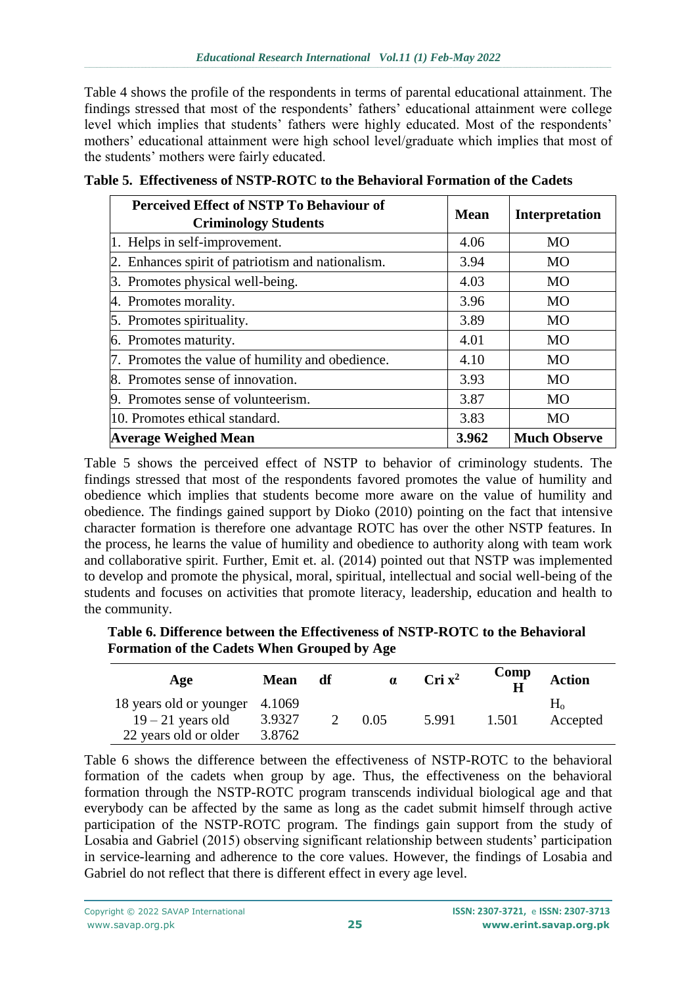Table 4 shows the profile of the respondents in terms of parental educational attainment. The findings stressed that most of the respondents' fathers' educational attainment were college level which implies that students' fathers were highly educated. Most of the respondents' mothers' educational attainment were high school level/graduate which implies that most of the students' mothers were fairly educated.

| <b>Perceived Effect of NSTP To Behaviour of</b><br><b>Criminology Students</b> | Mean  | <b>Interpretation</b> |
|--------------------------------------------------------------------------------|-------|-----------------------|
| 1. Helps in self-improvement.                                                  | 4.06  | <b>MO</b>             |
| 2. Enhances spirit of patriotism and nationalism.                              | 3.94  | MO                    |
| 3. Promotes physical well-being.                                               | 4.03  | <b>MO</b>             |
| 4. Promotes morality.                                                          | 3.96  | <b>MO</b>             |
| 5. Promotes spirituality.                                                      | 3.89  | <b>MO</b>             |
| 6. Promotes maturity.                                                          | 4.01  | <b>MO</b>             |
| 7. Promotes the value of humility and obedience.                               | 4.10  | <b>MO</b>             |
| 8. Promotes sense of innovation.                                               | 3.93  | <b>MO</b>             |
| 9. Promotes sense of volunteerism.                                             | 3.87  | MO                    |
| 10. Promotes ethical standard.                                                 | 3.83  | <b>MO</b>             |
| Average Weighed Mean                                                           | 3.962 | <b>Much Observe</b>   |

**Table 5. Effectiveness of NSTP-ROTC to the Behavioral Formation of the Cadets**

Table 5 shows the perceived effect of NSTP to behavior of criminology students. The findings stressed that most of the respondents favored promotes the value of humility and obedience which implies that students become more aware on the value of humility and obedience. The findings gained support by Dioko (2010) pointing on the fact that intensive character formation is therefore one advantage ROTC has over the other NSTP features. In the process, he learns the value of humility and obedience to authority along with team work and collaborative spirit. Further, Emit et. al. (2014) pointed out that NSTP was implemented to develop and promote the physical, moral, spiritual, intellectual and social well-being of the students and focuses on activities that promote literacy, leadership, education and health to the community.

**Table 6. Difference between the Effectiveness of NSTP-ROTC to the Behavioral Formation of the Cadets When Grouped by Age**

| Age                            | <b>Mean</b> | df | $\alpha$ | $\rm{Cri}$ $\rm{x}^2$ | Comp<br>$\mathbf H$ | <b>Action</b> |
|--------------------------------|-------------|----|----------|-----------------------|---------------------|---------------|
| 18 years old or younger 4.1069 |             |    |          |                       |                     | $H_0$         |
| $19 - 21$ years old            | 3.9327      |    | 0.05     | 5.991                 | 1.501               | Accepted      |
| 22 years old or older          | 3.8762      |    |          |                       |                     |               |

Table 6 shows the difference between the effectiveness of NSTP-ROTC to the behavioral formation of the cadets when group by age. Thus, the effectiveness on the behavioral formation through the NSTP-ROTC program transcends individual biological age and that everybody can be affected by the same as long as the cadet submit himself through active participation of the NSTP-ROTC program. The findings gain support from the study of Losabia and Gabriel (2015) observing significant relationship between students' participation in service-learning and adherence to the core values. However, the findings of Losabia and Gabriel do not reflect that there is different effect in every age level.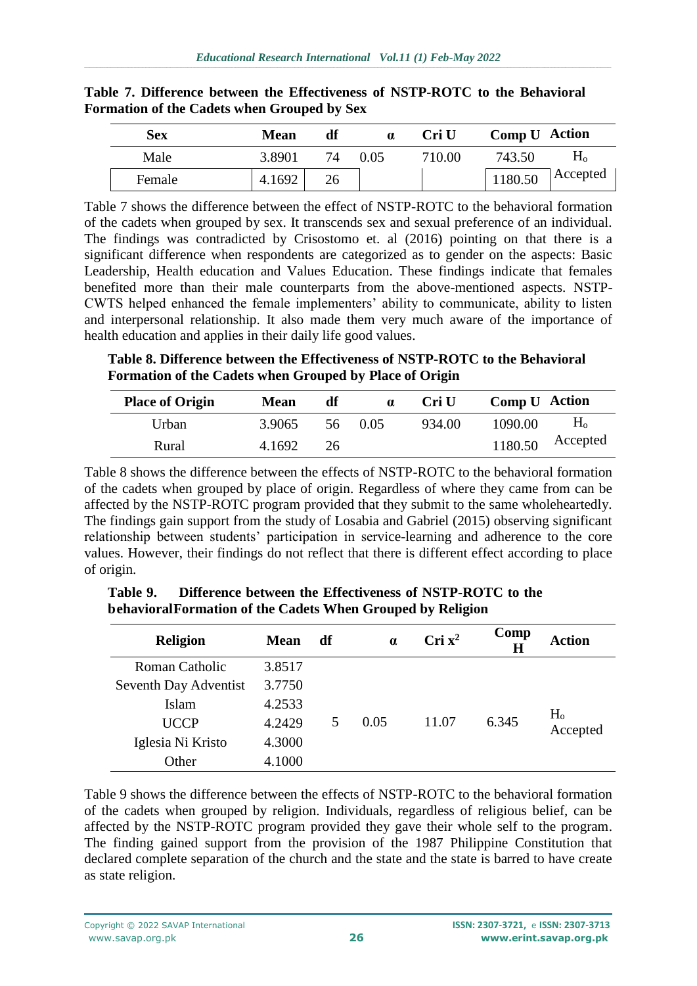| <b>Sex</b> | <b>Mean</b> | df | $\alpha$ | Cri U  | Comp U Action |          |
|------------|-------------|----|----------|--------|---------------|----------|
| Male       | 3.8901      | 74 | 0.05     | 710.00 | 743.50        | $H_0$    |
| Female     | 4.1692      | 26 |          |        | 1180.50       | Accepted |

#### **Table 7. Difference between the Effectiveness of NSTP-ROTC to the Behavioral Formation of the Cadets when Grouped by Sex**

Table 7 shows the difference between the effect of NSTP-ROTC to the behavioral formation of the cadets when grouped by sex. It transcends sex and sexual preference of an individual. The findings was contradicted by Crisostomo et. al (2016) pointing on that there is a significant difference when respondents are categorized as to gender on the aspects: Basic Leadership, Health education and Values Education. These findings indicate that females benefited more than their male counterparts from the above-mentioned aspects. NSTP-CWTS helped enhanced the female implementers' ability to communicate, ability to listen and interpersonal relationship. It also made them very much aware of the importance of health education and applies in their daily life good values.

**Table 8. Difference between the Effectiveness of NSTP-ROTC to the Behavioral Formation of the Cadets when Grouped by Place of Origin**

| <b>Place of Origin</b> | <b>Mean</b> | df | $\alpha$ | Cri U  | Comp U Action |                    |
|------------------------|-------------|----|----------|--------|---------------|--------------------|
| Urban                  | 3.9065      |    | 56 0.05  | 934.00 | 1090.00       | H <sub>o</sub>     |
| Rural                  | 4.1692      | 26 |          |        |               | $1180.50$ Accepted |

Table 8 shows the difference between the effects of NSTP-ROTC to the behavioral formation of the cadets when grouped by place of origin. Regardless of where they came from can be affected by the NSTP-ROTC program provided that they submit to the same wholeheartedly. The findings gain support from the study of Losabia and Gabriel (2015) observing significant relationship between students' participation in service-learning and adherence to the core values. However, their findings do not reflect that there is different effect according to place of origin.

| <b>Religion</b>       | <b>Mean</b> | df | $\alpha$ | $\rm{Cri}$ $\rm{x}^2$ | Comp<br>Н | <b>Action</b>              |
|-----------------------|-------------|----|----------|-----------------------|-----------|----------------------------|
| <b>Roman Catholic</b> | 3.8517      |    |          |                       |           |                            |
| Seventh Day Adventist | 3.7750      |    |          |                       |           |                            |
| Islam                 | 4.2533      |    |          |                       |           |                            |
| <b>UCCP</b>           | 4.2429      |    | 0.05     | 11.07                 | 6.345     | H <sub>o</sub><br>Accepted |
| Iglesia Ni Kristo     | 4.3000      |    |          |                       |           |                            |
| Other                 | 4.1000      |    |          |                       |           |                            |

**Table 9. Difference between the Effectiveness of NSTP-ROTC to the behavioral Formation of the Cadets When Grouped by Religion**

Table 9 shows the difference between the effects of NSTP-ROTC to the behavioral formation of the cadets when grouped by religion. Individuals, regardless of religious belief, can be affected by the NSTP-ROTC program provided they gave their whole self to the program. The finding gained support from the provision of the 1987 Philippine Constitution that declared complete separation of the church and the state and the state is barred to have create as state religion.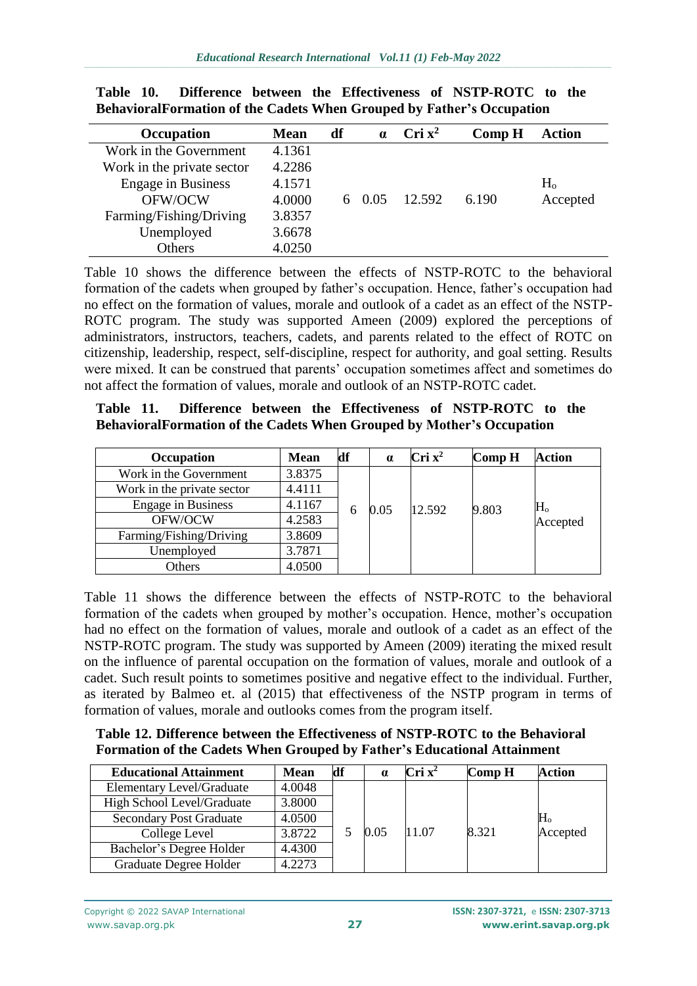| Occupation                 | <b>Mean</b> | df | $\alpha$      | $\rm{Cri}$ $\rm{x}^2$ | Comp H | <b>Action</b>  |
|----------------------------|-------------|----|---------------|-----------------------|--------|----------------|
| Work in the Government     | 4.1361      |    |               |                       |        |                |
| Work in the private sector | 4.2286      |    |               |                       |        |                |
| <b>Engage in Business</b>  | 4.1571      |    |               |                       |        | H <sub>o</sub> |
| OFW/OCW                    | 4.0000      |    | $6\quad 0.05$ | 12.592                | 6.190  | Accepted       |
| Farming/Fishing/Driving    | 3.8357      |    |               |                       |        |                |
| Unemployed                 | 3.6678      |    |               |                       |        |                |
| Others                     | 4.0250      |    |               |                       |        |                |

**Table 10. Difference between the Effectiveness of NSTP-ROTC to the BehavioralFormation of the Cadets When Grouped by Father's Occupation**

Table 10 shows the difference between the effects of NSTP-ROTC to the behavioral formation of the cadets when grouped by father's occupation. Hence, father's occupation had no effect on the formation of values, morale and outlook of a cadet as an effect of the NSTP-ROTC program. The study was supported Ameen (2009) explored the perceptions of administrators, instructors, teachers, cadets, and parents related to the effect of ROTC on citizenship, leadership, respect, self-discipline, respect for authority, and goal setting. Results were mixed. It can be construed that parents' occupation sometimes affect and sometimes do not affect the formation of values, morale and outlook of an NSTP-ROTC cadet.

**Table 11. Difference between the Effectiveness of NSTP-ROTC to the BehavioralFormation of the Cadets When Grouped by Mother's Occupation**

| Occupation                 | <b>Mean</b> | df | $\alpha$ | $\mathbf{Cri} \mathbf{x}^2$ | Comp H | <b>Action</b>           |
|----------------------------|-------------|----|----------|-----------------------------|--------|-------------------------|
| Work in the Government     | 3.8375      |    |          |                             |        |                         |
| Work in the private sector | 4.4111      |    |          |                             |        |                         |
| <b>Engage in Business</b>  | 4.1167      | 6  | 0.05     | 12.592                      | 9.803  | $\rm H_{o}$<br>Accepted |
| OFW/OCW                    | 4.2583      |    |          |                             |        |                         |
| Farming/Fishing/Driving    | 3.8609      |    |          |                             |        |                         |
| Unemployed                 | 3.7871      |    |          |                             |        |                         |
| Others                     | 4.0500      |    |          |                             |        |                         |

Table 11 shows the difference between the effects of NSTP-ROTC to the behavioral formation of the cadets when grouped by mother's occupation. Hence, mother's occupation had no effect on the formation of values, morale and outlook of a cadet as an effect of the NSTP-ROTC program. The study was supported by Ameen (2009) iterating the mixed result on the influence of parental occupation on the formation of values, morale and outlook of a cadet. Such result points to sometimes positive and negative effect to the individual. Further, as iterated by Balmeo et. al (2015) that effectiveness of the NSTP program in terms of formation of values, morale and outlooks comes from the program itself.

| Table 12. Difference between the Effectiveness of NSTP-ROTC to the Behavioral  |
|--------------------------------------------------------------------------------|
| <b>Formation of the Cadets When Grouped by Father's Educational Attainment</b> |

| <b>Educational Attainment</b>    | <b>Mean</b> | df | $\alpha$ | $\rm{Cri} \; \rm{x}^2$ | Comp H | <b>Action</b>         |
|----------------------------------|-------------|----|----------|------------------------|--------|-----------------------|
| <b>Elementary Level/Graduate</b> | 4.0048      |    | 0.05     | 11.07                  | 8.321  | $\rm H_o$<br>Accepted |
| High School Level/Graduate       | 3.8000      |    |          |                        |        |                       |
| <b>Secondary Post Graduate</b>   | 4.0500      |    |          |                        |        |                       |
| College Level                    | 3.8722      |    |          |                        |        |                       |
| Bachelor's Degree Holder         | 4.4300      |    |          |                        |        |                       |
| Graduate Degree Holder           | 4.2273      |    |          |                        |        |                       |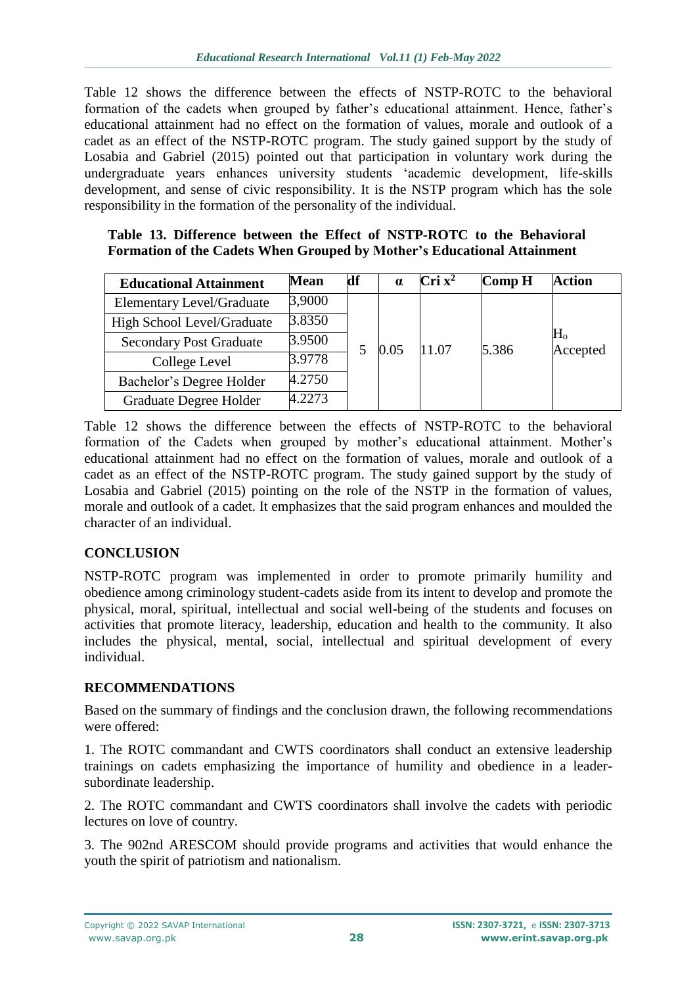Table 12 shows the difference between the effects of NSTP-ROTC to the behavioral formation of the cadets when grouped by father's educational attainment. Hence, father's educational attainment had no effect on the formation of values, morale and outlook of a cadet as an effect of the NSTP-ROTC program. The study gained support by the study of Losabia and Gabriel (2015) pointed out that participation in voluntary work during the undergraduate years enhances university students 'academic development, life-skills development, and sense of civic responsibility. It is the NSTP program which has the sole responsibility in the formation of the personality of the individual.

#### **Table 13. Difference between the Effect of NSTP-ROTC to the Behavioral Formation of the Cadets When Grouped by Mother's Educational Attainment**

| <b>Educational Attainment</b>    | <b>Mean</b> | df | $\alpha$ | $\rm{Cri}$ $\rm{x}^2$ | Comp H | Action                     |
|----------------------------------|-------------|----|----------|-----------------------|--------|----------------------------|
| <b>Elementary Level/Graduate</b> | 3,9000      |    | 0.05     |                       | 5.386  | H <sub>o</sub><br>Accepted |
| High School Level/Graduate       | 3.8350      |    |          | 11.07                 |        |                            |
| <b>Secondary Post Graduate</b>   | 3.9500      |    |          |                       |        |                            |
| College Level                    | 3.9778      |    |          |                       |        |                            |
| Bachelor's Degree Holder         | 4.2750      |    |          |                       |        |                            |
| Graduate Degree Holder           | 4.2273      |    |          |                       |        |                            |

Table 12 shows the difference between the effects of NSTP-ROTC to the behavioral formation of the Cadets when grouped by mother's educational attainment. Mother's educational attainment had no effect on the formation of values, morale and outlook of a cadet as an effect of the NSTP-ROTC program. The study gained support by the study of Losabia and Gabriel (2015) pointing on the role of the NSTP in the formation of values, morale and outlook of a cadet. It emphasizes that the said program enhances and moulded the character of an individual.

## **CONCLUSION**

NSTP-ROTC program was implemented in order to promote primarily humility and obedience among criminology student-cadets aside from its intent to develop and promote the physical, moral, spiritual, intellectual and social well-being of the students and focuses on activities that promote literacy, leadership, education and health to the community. It also includes the physical, mental, social, intellectual and spiritual development of every individual.

## **RECOMMENDATIONS**

Based on the summary of findings and the conclusion drawn, the following recommendations were offered:

1. The ROTC commandant and CWTS coordinators shall conduct an extensive leadership trainings on cadets emphasizing the importance of humility and obedience in a leadersubordinate leadership.

2. The ROTC commandant and CWTS coordinators shall involve the cadets with periodic lectures on love of country.

3. The 902nd ARESCOM should provide programs and activities that would enhance the youth the spirit of patriotism and nationalism.